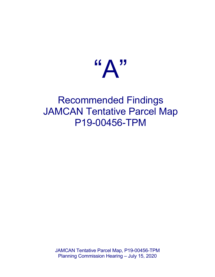

# Recommended Findings JAMCAN Tentative Parcel Map P19-00456-TPM

JAMCAN Tentative Parcel Map, P19-00456-TPM Planning Commission Hearing – July 15, 2020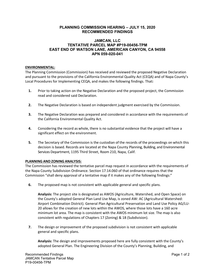## **PLANNING COMMISSION HEARING – JULY 15, 2020 RECOMMENDED FINDINGS**

## **JAMCAN, LLC TENTATIVE PARCEL MAP #P19-00456-TPM EAST END OF WATSON LANE, AMERICAN CANYON, CA 94558 APN 059-020-041**

### **ENVIRONMENTAL:**

The Planning Commission (Commission) has received and reviewed the proposed Negative Declaration and pursuant to the provisions of the California Environmental Quality Act (CEQA) and of Napa County's Local Procedures for Implementing CEQA, and makes the following findings. That**:**

- **1.** Prior to taking action on the Negative Declaration and the proposed project, the Commission read and considered said Declaration.
- **2.** The Negative Declaration is based on independent judgment exercised by the Commission.
- **3.** The Negative Declaration was prepared and considered in accordance with the requirements of the California Environmental Quality Act.
- **4.** Considering the record as whole, there is no substantial evidence that the project will have a significant effect on the environment.
- **5.** The Secretary of the Commission is the custodian of the records of the proceedings on which this decision is based. Records are located at the Napa County Planning, Building, and Environmental Services Department, 1195 Third Street, Room 210, Napa, Calif.

### **PLANNING AND ZONING ANALYSIS:**

The Commission has reviewed the tentative parcel map request in accordance with the requirements of the Napa County Subdivision Ordinance. Section 17.14.060 of that ordinance requires that the Commission "shall deny approval of a tentative map if it makes any of the following findings:"

**6.** The proposed map is not consistent with applicable general and specific plans.

**Analysis:** The project site is designated as AWOS (Agriculture, Watershed, and Open Space) on the County's adopted General Plan Land Use Map, is zoned AW: AC (Agricultural Watershed: Airport Combination District). General Plan Agricultural Preservation and Land Use Policy AG/LU-20 allows for the creation of new lots within the AWOS, where those lots have a 160 acre minimum lot area. The map is consistent with the AWOS minimum lot size. The map is also consistent with regulations of Chapters 17 (Zoning) & 18 (Subdivision).

**7.** The design or improvement of the proposed subdivision is not consistent with applicable general and specific plans.

**Analysis:** The design and improvements proposed here are fully consistent with the County's adopted General Plan. The Engineering Division of the County's Planning, Building, and